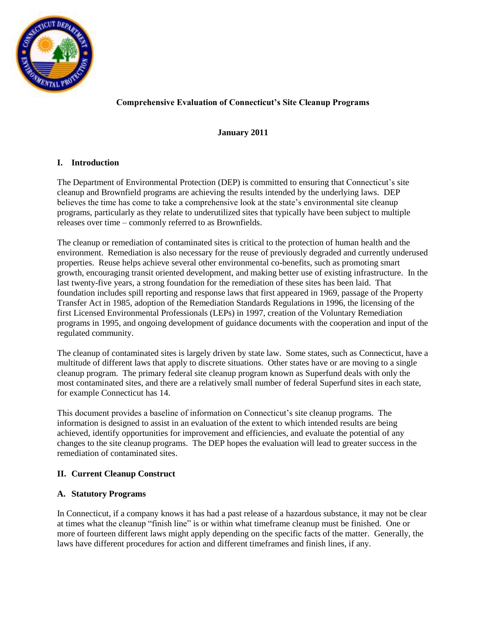

# **Comprehensive Evaluation of Connecticut's Site Cleanup Programs**

### **January 2011**

## **I. Introduction**

The Department of Environmental Protection (DEP) is committed to ensuring that Connecticut's site cleanup and Brownfield programs are achieving the results intended by the underlying laws. DEP believes the time has come to take a comprehensive look at the state's environmental site cleanup programs, particularly as they relate to underutilized sites that typically have been subject to multiple releases over time – commonly referred to as Brownfields.

The cleanup or remediation of contaminated sites is critical to the protection of human health and the environment. Remediation is also necessary for the reuse of previously degraded and currently underused properties. Reuse helps achieve several other environmental co-benefits, such as promoting smart growth, encouraging transit oriented development, and making better use of existing infrastructure. In the last twenty-five years, a strong foundation for the remediation of these sites has been laid. That foundation includes spill reporting and response laws that first appeared in 1969, passage of the Property Transfer Act in 1985, adoption of the Remediation Standards Regulations in 1996, the licensing of the first Licensed Environmental Professionals (LEPs) in 1997, creation of the Voluntary Remediation programs in 1995, and ongoing development of guidance documents with the cooperation and input of the regulated community.

The cleanup of contaminated sites is largely driven by state law. Some states, such as Connecticut, have a multitude of different laws that apply to discrete situations. Other states have or are moving to a single cleanup program. The primary federal site cleanup program known as Superfund deals with only the most contaminated sites, and there are a relatively small number of federal Superfund sites in each state, for example Connecticut has 14.

This document provides a baseline of information on Connecticut's site cleanup programs. The information is designed to assist in an evaluation of the extent to which intended results are being achieved, identify opportunities for improvement and efficiencies, and evaluate the potential of any changes to the site cleanup programs. The DEP hopes the evaluation will lead to greater success in the remediation of contaminated sites.

## **II. Current Cleanup Construct**

## **A. Statutory Programs**

In Connecticut, if a company knows it has had a past release of a hazardous substance, it may not be clear at times what the cleanup "finish line" is or within what timeframe cleanup must be finished. One or more of fourteen different laws might apply depending on the specific facts of the matter. Generally, the laws have different procedures for action and different timeframes and finish lines, if any.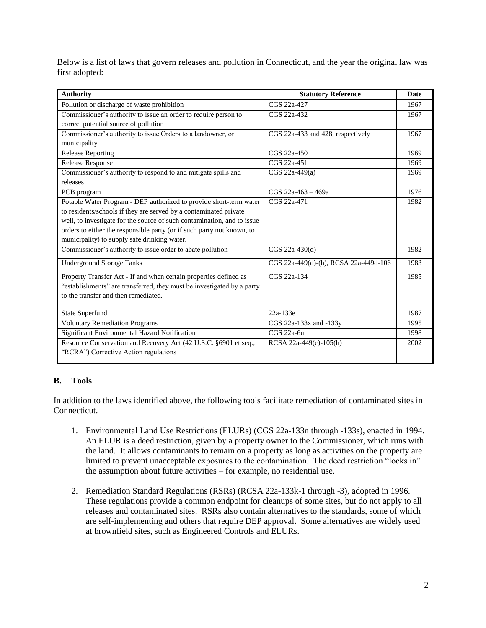Below is a list of laws that govern releases and pollution in Connecticut, and the year the original law was first adopted:

| <b>Authority</b>                                                        | <b>Statutory Reference</b>            | <b>Date</b> |
|-------------------------------------------------------------------------|---------------------------------------|-------------|
| Pollution or discharge of waste prohibition                             | CGS 22a-427                           | 1967        |
| Commissioner's authority to issue an order to require person to         | CGS 22a-432                           | 1967        |
| correct potential source of pollution                                   |                                       |             |
| Commissioner's authority to issue Orders to a landowner, or             | CGS 22a-433 and 428, respectively     | 1967        |
| municipality                                                            |                                       |             |
| <b>Release Reporting</b>                                                | CGS 22a-450                           | 1969        |
| <b>Release Response</b>                                                 | CGS 22a-451                           | 1969        |
| Commissioner's authority to respond to and mitigate spills and          | CGS $22a-449(a)$                      | 1969        |
| releases                                                                |                                       |             |
| PCB program                                                             | $CGS$ 22a-463 - 469a                  | 1976        |
| Potable Water Program - DEP authorized to provide short-term water      | CGS 22a-471                           | 1982        |
| to residents/schools if they are served by a contaminated private       |                                       |             |
| well, to investigate for the source of such contamination, and to issue |                                       |             |
| orders to either the responsible party (or if such party not known, to  |                                       |             |
| municipality) to supply safe drinking water.                            |                                       |             |
| Commissioner's authority to issue order to abate pollution              | $CGS 22a-430(d)$                      | 1982        |
| <b>Underground Storage Tanks</b>                                        | CGS 22a-449(d)-(h), RCSA 22a-449d-106 | 1983        |
| Property Transfer Act - If and when certain properties defined as       | CGS 22a-134                           | 1985        |
| "establishments" are transferred, they must be investigated by a party  |                                       |             |
| to the transfer and then remediated.                                    |                                       |             |
|                                                                         |                                       |             |
| <b>State Superfund</b>                                                  | 22a-133e                              | 1987        |
| <b>Voluntary Remediation Programs</b>                                   | CGS 22a-133x and -133y                | 1995        |
| Significant Environmental Hazard Notification                           | CGS 22a-6u                            | 1998        |
| Resource Conservation and Recovery Act (42 U.S.C. §6901 et seq.;        | RCSA 22a-449(c)-105(h)                | 2002        |
| "RCRA") Corrective Action regulations                                   |                                       |             |

## **B. Tools**

In addition to the laws identified above, the following tools facilitate remediation of contaminated sites in Connecticut.

- 1. Environmental Land Use Restrictions (ELURs) (CGS 22a-133n through -133s), enacted in 1994. An ELUR is a deed restriction, given by a property owner to the Commissioner, which runs with the land. It allows contaminants to remain on a property as long as activities on the property are limited to prevent unacceptable exposures to the contamination. The deed restriction "locks in" the assumption about future activities – for example, no residential use.
- 2. Remediation Standard Regulations (RSRs) (RCSA 22a-133k-1 through -3), adopted in 1996. These regulations provide a common endpoint for cleanups of some sites, but do not apply to all releases and contaminated sites. RSRs also contain alternatives to the standards, some of which are self-implementing and others that require DEP approval. Some alternatives are widely used at brownfield sites, such as Engineered Controls and ELURs.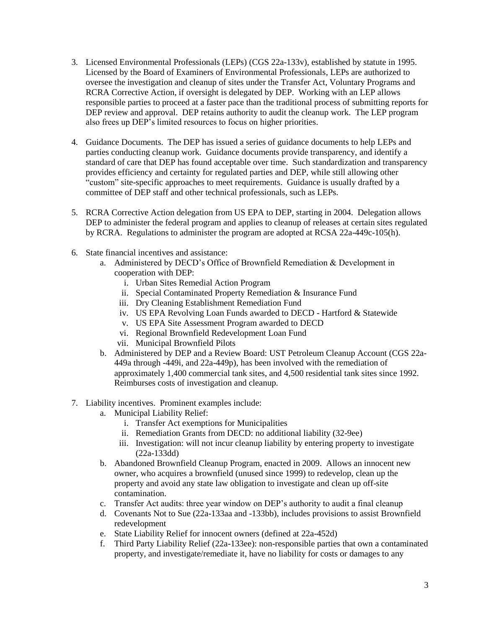- 3. Licensed Environmental Professionals (LEPs) (CGS 22a-133v), established by statute in 1995. Licensed by the Board of Examiners of Environmental Professionals, LEPs are authorized to oversee the investigation and cleanup of sites under the Transfer Act, Voluntary Programs and RCRA Corrective Action, if oversight is delegated by DEP. Working with an LEP allows responsible parties to proceed at a faster pace than the traditional process of submitting reports for DEP review and approval. DEP retains authority to audit the cleanup work. The LEP program also frees up DEP's limited resources to focus on higher priorities.
- 4. Guidance Documents. The DEP has issued a series of guidance documents to help LEPs and parties conducting cleanup work. Guidance documents provide transparency, and identify a standard of care that DEP has found acceptable over time. Such standardization and transparency provides efficiency and certainty for regulated parties and DEP, while still allowing other "custom" site-specific approaches to meet requirements. Guidance is usually drafted by a committee of DEP staff and other technical professionals, such as LEPs.
- 5. RCRA Corrective Action delegation from US EPA to DEP, starting in 2004. Delegation allows DEP to administer the federal program and applies to cleanup of releases at certain sites regulated by RCRA. Regulations to administer the program are adopted at RCSA 22a-449c-105(h).
- 6. State financial incentives and assistance:
	- a. Administered by DECD's Office of Brownfield Remediation & Development in cooperation with DEP:
		- i. Urban Sites Remedial Action Program
		- ii. Special Contaminated Property Remediation & Insurance Fund
		- iii. Dry Cleaning Establishment Remediation Fund
		- iv. US EPA Revolving Loan Funds awarded to DECD Hartford & Statewide
		- v. US EPA Site Assessment Program awarded to DECD
		- vi. Regional Brownfield Redevelopment Loan Fund
		- vii. Municipal Brownfield Pilots
	- b. Administered by DEP and a Review Board: UST Petroleum Cleanup Account (CGS 22a-449a through -449i, and 22a-449p), has been involved with the remediation of approximately 1,400 commercial tank sites, and 4,500 residential tank sites since 1992. Reimburses costs of investigation and cleanup.
- 7. Liability incentives. Prominent examples include:
	- a. Municipal Liability Relief:
		- i. Transfer Act exemptions for Municipalities
		- ii. Remediation Grants from DECD: no additional liability (32-9ee)
		- iii. Investigation: will not incur cleanup liability by entering property to investigate (22a-133dd)
	- b. Abandoned Brownfield Cleanup Program, enacted in 2009. Allows an innocent new owner, who acquires a brownfield (unused since 1999) to redevelop, clean up the property and avoid any state law obligation to investigate and clean up off-site contamination.
	- c. Transfer Act audits: three year window on DEP's authority to audit a final cleanup
	- d. Covenants Not to Sue (22a-133aa and -133bb), includes provisions to assist Brownfield redevelopment
	- e. State Liability Relief for innocent owners (defined at 22a-452d)
	- f. Third Party Liability Relief (22a-133ee): non-responsible parties that own a contaminated property, and investigate/remediate it, have no liability for costs or damages to any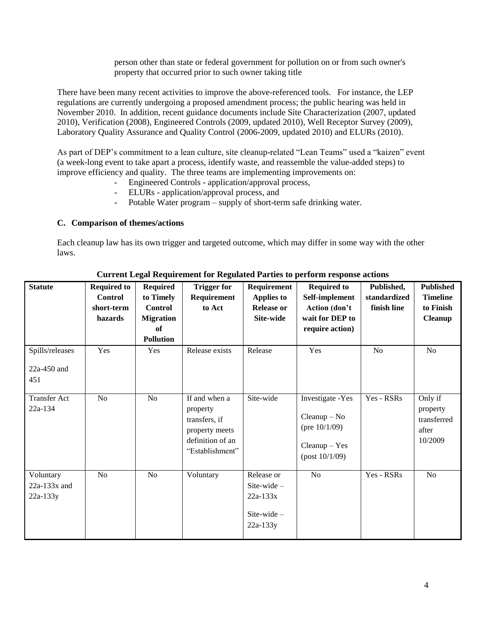person other than state or federal government for pollution on or from such owner's property that occurred prior to such owner taking title

There have been many recent activities to improve the above-referenced tools. For instance, the LEP regulations are currently undergoing a proposed amendment process; the public hearing was held in November 2010. In addition, recent guidance documents include Site Characterization (2007, updated 2010), Verification (2008), Engineered Controls (2009, updated 2010), Well Receptor Survey (2009), Laboratory Quality Assurance and Quality Control (2006-2009, updated 2010) and ELURs (2010).

As part of DEP's commitment to a lean culture, site cleanup-related "Lean Teams" used a "kaizen" event (a week-long event to take apart a process, identify waste, and reassemble the value-added steps) to improve efficiency and quality. The three teams are implementing improvements on:

- Engineered Controls application/approval process,
- ELURs application/approval process, and
- Potable Water program supply of short-term safe drinking water.

### **C. Comparison of themes/actions**

Each cleanup law has its own trigger and targeted outcome, which may differ in some way with the other laws.

| <b>Statute</b>                            | <b>Required to</b><br><b>Control</b><br>short-term<br>hazards | <b>Required</b><br>to Timely<br><b>Control</b><br><b>Migration</b><br>of<br><b>Pollution</b> | <b>Trigger for</b><br>Requirement<br>to Act                                                         | Requirement<br><b>Applies to</b><br><b>Release or</b><br>Site-wide      | <b>Required to</b><br>Self-implement<br>Action (don't<br>wait for DEP to<br>require action)   | Published,<br>standardized<br>finish line | <b>Published</b><br><b>Timeline</b><br>to Finish<br><b>Cleanup</b> |
|-------------------------------------------|---------------------------------------------------------------|----------------------------------------------------------------------------------------------|-----------------------------------------------------------------------------------------------------|-------------------------------------------------------------------------|-----------------------------------------------------------------------------------------------|-------------------------------------------|--------------------------------------------------------------------|
| Spills/releases<br>$22a-450$ and<br>451   | Yes                                                           | Yes                                                                                          | Release exists                                                                                      | Release                                                                 | Yes                                                                                           | N <sub>o</sub>                            | No                                                                 |
| <b>Transfer Act</b><br>22a-134            | No                                                            | No                                                                                           | If and when a<br>property<br>transfers, if<br>property meets<br>definition of an<br>"Establishment" | Site-wide                                                               | Investigate -Yes<br>$Cleanup - No$<br>(pre $10/1/09$ )<br>$Cleanup - Yes$<br>$-post 10/1/09)$ | Yes - RSRs                                | Only if<br>property<br>transferred<br>after<br>10/2009             |
| Voluntary<br>$22a-133x$ and<br>$22a-133y$ | No                                                            | No                                                                                           | Voluntary                                                                                           | Release or<br>Site-wide $-$<br>$22a - 133x$<br>Site-wide-<br>$22a-133y$ | No                                                                                            | Yes - RSRs                                | No                                                                 |

**Current Legal Requirement for Regulated Parties to perform response actions**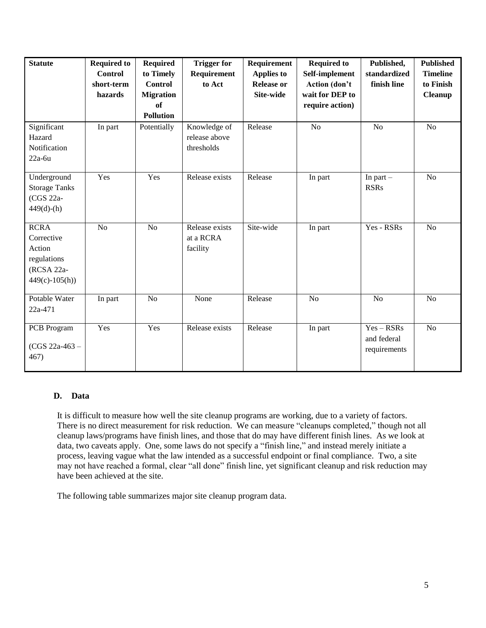| <b>Statute</b>                                                                      | <b>Required to</b><br><b>Control</b><br>short-term<br>hazards | <b>Required</b><br>to Timely<br><b>Control</b><br><b>Migration</b><br>of<br><b>Pollution</b> | <b>Trigger for</b><br>Requirement<br>to Act | Requirement<br><b>Applies to</b><br><b>Release or</b><br>Site-wide | <b>Required to</b><br>Self-implement<br>Action (don't<br>wait for DEP to<br>require action) | Published,<br>standardized<br>finish line   | Published<br><b>Timeline</b><br>to Finish<br><b>Cleanup</b> |
|-------------------------------------------------------------------------------------|---------------------------------------------------------------|----------------------------------------------------------------------------------------------|---------------------------------------------|--------------------------------------------------------------------|---------------------------------------------------------------------------------------------|---------------------------------------------|-------------------------------------------------------------|
| Significant<br>Hazard<br>Notification<br>$22a-6u$                                   | In part                                                       | Potentially                                                                                  | Knowledge of<br>release above<br>thresholds | Release                                                            | N <sub>o</sub>                                                                              | N <sub>o</sub>                              | N <sub>o</sub>                                              |
| Underground<br><b>Storage Tanks</b><br>(CGS 22a-<br>$449(d)$ -(h)                   | Yes                                                           | Yes                                                                                          | Release exists                              | Release                                                            | In part                                                                                     | In part $-$<br><b>RSRs</b>                  | N <sub>o</sub>                                              |
| <b>RCRA</b><br>Corrective<br>Action<br>regulations<br>(RCSA 22a-<br>$449(c)-105(h)$ | N <sub>o</sub>                                                | N <sub>o</sub>                                                                               | Release exists<br>at a RCRA<br>facility     | Site-wide                                                          | In part                                                                                     | Yes - RSRs                                  | N <sub>o</sub>                                              |
| Potable Water<br>22a-471                                                            | In part                                                       | N <sub>o</sub>                                                                               | None                                        | Release                                                            | N <sub>o</sub>                                                                              | N <sub>o</sub>                              | N <sub>o</sub>                                              |
| PCB Program<br>$(CGS 22a-463 -$<br>467)                                             | Yes                                                           | Yes                                                                                          | Release exists                              | Release                                                            | In part                                                                                     | $Yes - RSRs$<br>and federal<br>requirements | N <sub>o</sub>                                              |

### **D. Data**

It is difficult to measure how well the site cleanup programs are working, due to a variety of factors. There is no direct measurement for risk reduction. We can measure "cleanups completed," though not all cleanup laws/programs have finish lines, and those that do may have different finish lines. As we look at data, two caveats apply. One, some laws do not specify a "finish line," and instead merely initiate a process, leaving vague what the law intended as a successful endpoint or final compliance. Two, a site may not have reached a formal, clear "all done" finish line, yet significant cleanup and risk reduction may have been achieved at the site.

The following table summarizes major site cleanup program data.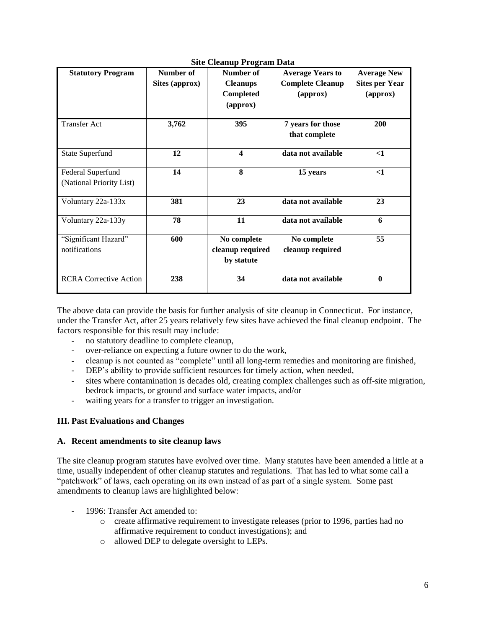| <b>Statutory Program</b>              | Number of<br>Sites (approx) | Number of<br><b>Cleanups</b><br>Completed<br>$\left($ approx $\right)$ | <b>Average Years to</b><br><b>Complete Cleanup</b><br>(approx) | <b>Average New</b><br><b>Sites per Year</b><br>(approx) |
|---------------------------------------|-----------------------------|------------------------------------------------------------------------|----------------------------------------------------------------|---------------------------------------------------------|
| <b>Transfer Act</b>                   | 3,762                       | 395                                                                    | 7 years for those<br>that complete                             | 200                                                     |
| <b>State Superfund</b>                | 12                          | $\overline{\mathbf{4}}$                                                | data not available                                             | $\leq$ 1                                                |
| Federal Superfund                     | 14                          | 8                                                                      | 15 years                                                       | $\leq$ 1                                                |
| (National Priority List)              |                             |                                                                        |                                                                |                                                         |
| Voluntary 22a-133x                    | 381                         | 23                                                                     | data not available                                             | 23                                                      |
| Voluntary 22a-133y                    | 78                          | 11                                                                     | data not available                                             | 6                                                       |
| "Significant Hazard"<br>notifications | 600                         | No complete<br>cleanup required<br>by statute                          | No complete<br>cleanup required                                | 55                                                      |
| <b>RCRA Corrective Action</b>         | 238                         | 34                                                                     | data not available                                             | $\bf{0}$                                                |

#### **Site Cleanup Program Data**

The above data can provide the basis for further analysis of site cleanup in Connecticut. For instance, under the Transfer Act, after 25 years relatively few sites have achieved the final cleanup endpoint. The factors responsible for this result may include:

- no statutory deadline to complete cleanup,
- over-reliance on expecting a future owner to do the work,
- cleanup is not counted as "complete" until all long-term remedies and monitoring are finished,
- DEP's ability to provide sufficient resources for timely action, when needed,
- sites where contamination is decades old, creating complex challenges such as off-site migration, bedrock impacts, or ground and surface water impacts, and/or
- waiting years for a transfer to trigger an investigation.

#### **III. Past Evaluations and Changes**

#### **A. Recent amendments to site cleanup laws**

The site cleanup program statutes have evolved over time. Many statutes have been amended a little at a time, usually independent of other cleanup statutes and regulations. That has led to what some call a "patchwork" of laws, each operating on its own instead of as part of a single system. Some past amendments to cleanup laws are highlighted below:

- 1996: Transfer Act amended to:
	- o create affirmative requirement to investigate releases (prior to 1996, parties had no affirmative requirement to conduct investigations); and
	- o allowed DEP to delegate oversight to LEPs.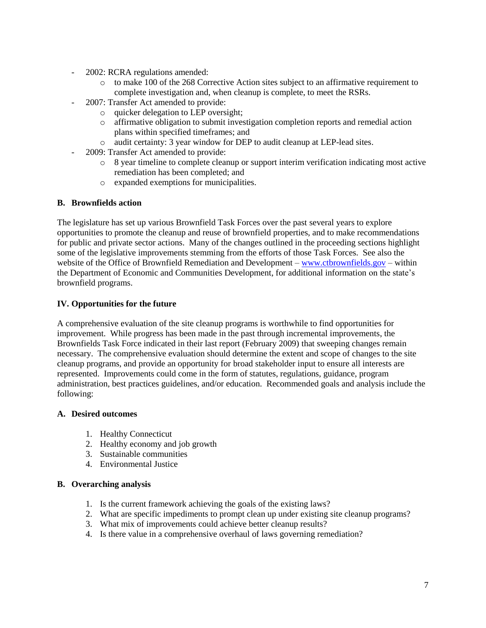- 2002: RCRA regulations amended:
	- o to make 100 of the 268 Corrective Action sites subject to an affirmative requirement to complete investigation and, when cleanup is complete, to meet the RSRs.
- 2007: Transfer Act amended to provide:
	- o quicker delegation to LEP oversight;
	- o affirmative obligation to submit investigation completion reports and remedial action plans within specified timeframes; and
	- o audit certainty: 3 year window for DEP to audit cleanup at LEP-lead sites.
- 2009: Transfer Act amended to provide:
	- o 8 year timeline to complete cleanup or support interim verification indicating most active remediation has been completed; and
	- o expanded exemptions for municipalities.

### **B. Brownfields action**

The legislature has set up various Brownfield Task Forces over the past several years to explore opportunities to promote the cleanup and reuse of brownfield properties, and to make recommendations for public and private sector actions. Many of the changes outlined in the proceeding sections highlight some of the legislative improvements stemming from the efforts of those Task Forces. See also the website of the Office of Brownfield Remediation and Development – [www.ctbrownfields.gov](http://www.ctbrownfields.gov/) – within the Department of Economic and Communities Development, for additional information on the state's brownfield programs.

### **IV. Opportunities for the future**

A comprehensive evaluation of the site cleanup programs is worthwhile to find opportunities for improvement. While progress has been made in the past through incremental improvements, the Brownfields Task Force indicated in their last report (February 2009) that sweeping changes remain necessary. The comprehensive evaluation should determine the extent and scope of changes to the site cleanup programs, and provide an opportunity for broad stakeholder input to ensure all interests are represented. Improvements could come in the form of statutes, regulations, guidance, program administration, best practices guidelines, and/or education. Recommended goals and analysis include the following:

### **A. Desired outcomes**

- 1. Healthy Connecticut
- 2. Healthy economy and job growth
- 3. Sustainable communities
- 4. Environmental Justice

### **B. Overarching analysis**

- 1. Is the current framework achieving the goals of the existing laws?
- 2. What are specific impediments to prompt clean up under existing site cleanup programs?
- 3. What mix of improvements could achieve better cleanup results?
- 4. Is there value in a comprehensive overhaul of laws governing remediation?